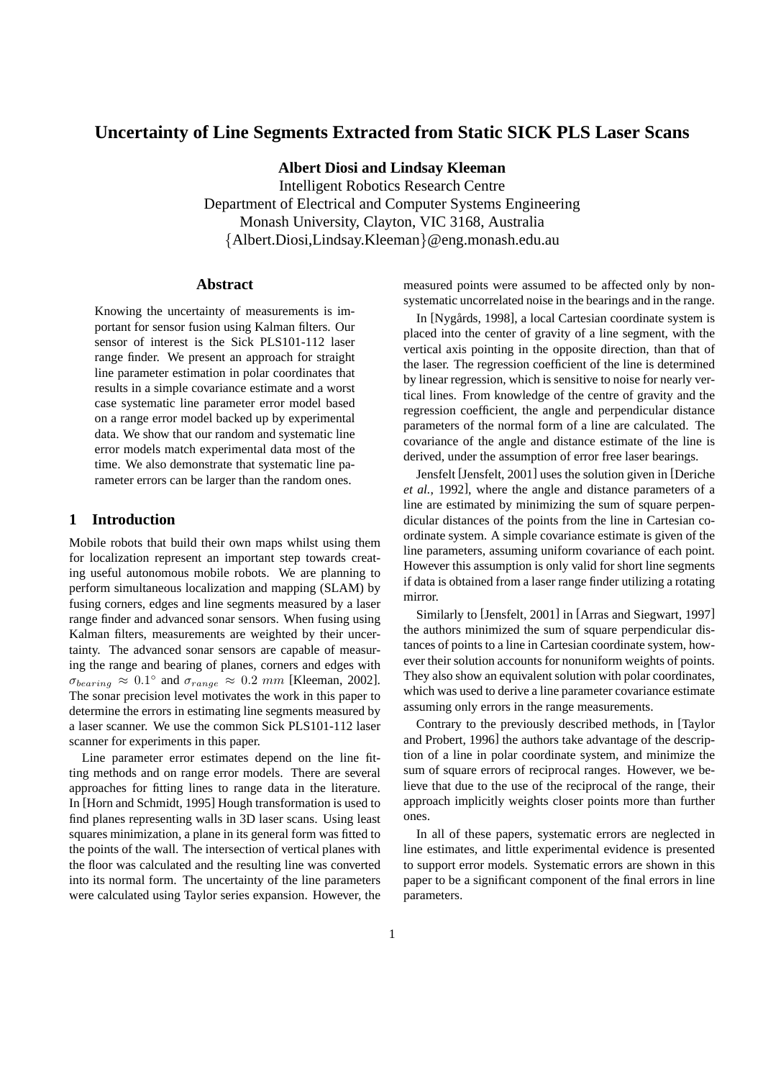# **Uncertainty of Line Segments Extracted from Static SICK PLS Laser Scans**

**Albert Diosi and Lindsay Kleeman**

Intelligent Robotics Research Centre Department of Electrical and Computer Systems Engineering Monash University, Clayton, VIC 3168, Australia {Albert.Diosi,Lindsay.Kleeman}@eng.monash.edu.au

### **Abstract**

Knowing the uncertainty of measurements is important for sensor fusion using Kalman filters. Our sensor of interest is the Sick PLS101-112 laser range finder. We present an approach for straight line parameter estimation in polar coordinates that results in a simple covariance estimate and a worst case systematic line parameter error model based on a range error model backed up by experimental data. We show that our random and systematic line error models match experimental data most of the time. We also demonstrate that systematic line parameter errors can be larger than the random ones.

### **1 Introduction**

Mobile robots that build their own maps whilst using them for localization represent an important step towards creating useful autonomous mobile robots. We are planning to perform simultaneous localization and mapping (SLAM) by fusing corners, edges and line segments measured by a laser range finder and advanced sonar sensors. When fusing using Kalman filters, measurements are weighted by their uncertainty. The advanced sonar sensors are capable of measuring the range and bearing of planes, corners and edges with  $\sigma_{bearing} \approx 0.1^{\circ}$  and  $\sigma_{range} \approx 0.2 \, mm$  [Kleeman, 2002]. The sonar precision level motivates the work in this paper to determine the errors in estimating line segments measured by a laser scanner. We use the common Sick PLS101-112 laser scanner for experiments in this paper.

Line parameter error estimates depend on the line fitting methods and on range error models. There are several approaches for fitting lines to range data in the literature. In [Horn and Schmidt, 1995] Hough transformation is used to find planes representing walls in 3D laser scans. Using least squares minimization, a plane in its general form was fitted to the points of the wall. The intersection of vertical planes with the floor was calculated and the resulting line was converted into its normal form. The uncertainty of the line parameters were calculated using Taylor series expansion. However, the measured points were assumed to be affected only by nonsystematic uncorrelated noise in the bearings and in the range.

In [Nygårds, 1998], a local Cartesian coordinate system is placed into the center of gravity of a line segment, with the vertical axis pointing in the opposite direction, than that of the laser. The regression coefficient of the line is determined by linear regression, which is sensitive to noise for nearly vertical lines. From knowledge of the centre of gravity and the regression coefficient, the angle and perpendicular distance parameters of the normal form of a line are calculated. The covariance of the angle and distance estimate of the line is derived, under the assumption of error free laser bearings.

Jensfelt [Jensfelt, 2001] uses the solution given in [Deriche *et al.*, 1992], where the angle and distance parameters of a line are estimated by minimizing the sum of square perpendicular distances of the points from the line in Cartesian coordinate system. A simple covariance estimate is given of the line parameters, assuming uniform covariance of each point. However this assumption is only valid for short line segments if data is obtained from a laser range finder utilizing a rotating mirror.

Similarly to [Jensfelt, 2001] in [Arras and Siegwart, 1997] the authors minimized the sum of square perpendicular distances of points to a line in Cartesian coordinate system, however their solution accounts for nonuniform weights of points. They also show an equivalent solution with polar coordinates, which was used to derive a line parameter covariance estimate assuming only errors in the range measurements.

Contrary to the previously described methods, in [Taylor and Probert, 1996] the authors take advantage of the description of a line in polar coordinate system, and minimize the sum of square errors of reciprocal ranges. However, we believe that due to the use of the reciprocal of the range, their approach implicitly weights closer points more than further ones.

In all of these papers, systematic errors are neglected in line estimates, and little experimental evidence is presented to support error models. Systematic errors are shown in this paper to be a significant component of the final errors in line parameters.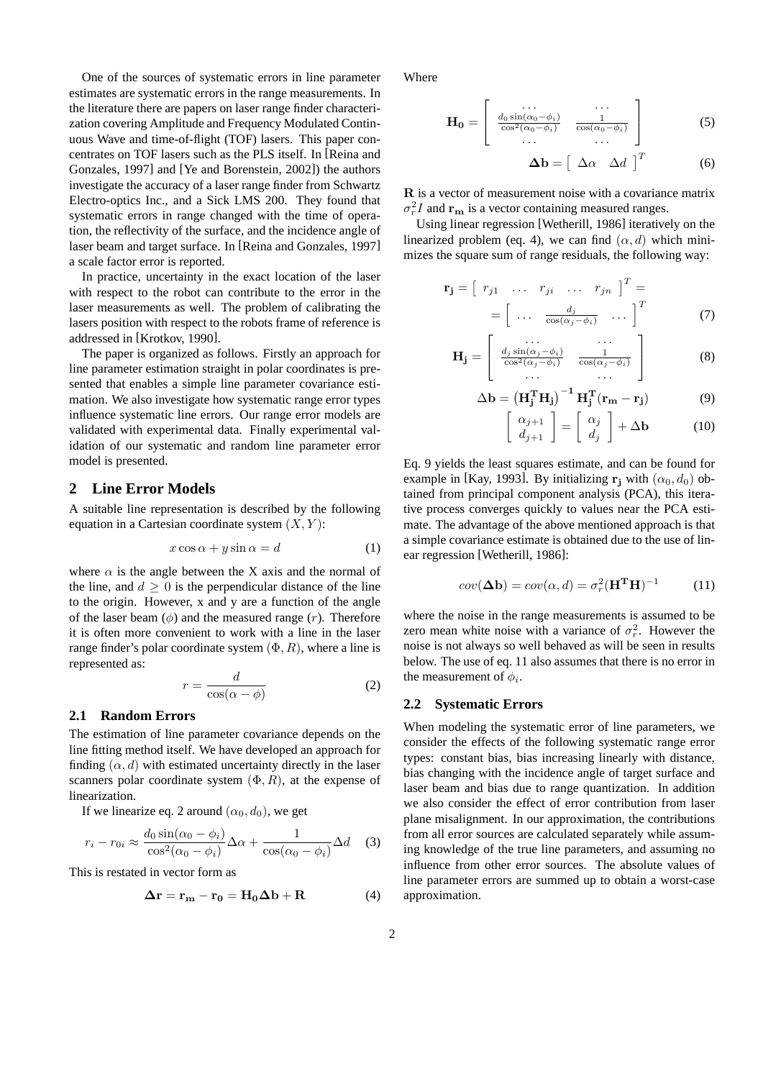One of the sources of systematic errors in line parameter estimates are systematic errors in the range measurements. In the literature there are papers on laser range finder characterization covering Amplitude and Frequency Modulated Continuous Wave and time-of-flight (TOF) lasers. This paper concentrates on TOF lasers such as the PLS itself. In [Reina and Gonzales, 1997] and [Ye and Borenstein, 2002]) the authors investigate the accuracy of a laser range finder from Schwartz Electro-optics Inc., and a Sick LMS 200. They found that systematic errors in range changed with the time of operation, the reflectivity of the surface, and the incidence angle of laser beam and target surface. In [Reina and Gonzales, 1997] a scale factor error is reported.

In practice, uncertainty in the exact location of the laser with respect to the robot can contribute to the error in the laser measurements as well. The problem of calibrating the lasers position with respect to the robots frame of reference is addressed in [Krotkov, 1990].

The paper is organized as follows. Firstly an approach for line parameter estimation straight in polar coordinates is presented that enables a simple line parameter covariance estimation. We also investigate how systematic range error types influence systematic line errors. Our range error models are validated with experimental data. Finally experimental validation of our systematic and random line parameter error model is presented.

### **2 Line Error Models**

A suitable line representation is described by the following equation in a Cartesian coordinate system  $(X, Y)$ :

$$
x\cos\alpha + y\sin\alpha = d\tag{1}
$$

where  $\alpha$  is the angle between the X axis and the normal of the line, and  $d \geq 0$  is the perpendicular distance of the line to the origin. However, x and y are a function of the angle of the laser beam  $(\phi)$  and the measured range  $(r)$ . Therefore it is often more convenient to work with a line in the laser range finder's polar coordinate system  $(\Phi, R)$ , where a line is represented as:

$$
r = \frac{d}{\cos(\alpha - \phi)}\tag{2}
$$

#### **2.1 Random Errors**

The estimation of line parameter covariance depends on the line fitting method itself. We have developed an approach for finding  $(\alpha, d)$  with estimated uncertainty directly in the laser scanners polar coordinate system  $(\Phi, R)$ , at the expense of linearization.

If we linearize eq. 2 around  $(\alpha_0, d_0)$ , we get

$$
r_i - r_{0i} \approx \frac{d_0 \sin(\alpha_0 - \phi_i)}{\cos^2(\alpha_0 - \phi_i)} \Delta \alpha + \frac{1}{\cos(\alpha_0 - \phi_i)} \Delta d \quad (3)
$$

This is restated in vector form as

$$
\Delta \mathbf{r} = \mathbf{r}_{\mathbf{m}} - \mathbf{r}_{0} = \mathbf{H}_{0} \Delta \mathbf{b} + \mathbf{R}
$$
 (4)

Where

$$
\mathbf{H_0} = \left[ \begin{array}{cc} \cdots & \cdots \\ \frac{d_0 \sin(\alpha_0 - \phi_i)}{\cos^2(\alpha_0 - \phi_i)} & \frac{1}{\cos(\alpha_0 - \phi_i)} \\ \cdots & \cdots \end{array} \right] \tag{5}
$$

$$
\Delta \mathbf{b} = \left[ \begin{array}{cc} \Delta \alpha & \Delta d \end{array} \right]^T \tag{6}
$$

R is a vector of measurement noise with a covariance matrix  $\sigma_r^2 I$  and  $\mathbf{r}_{\mathbf{m}}$  is a vector containing measured ranges.

Using linear regression [Wetherill, 1986] iteratively on the linearized problem (eq. 4), we can find  $(\alpha, d)$  which minimizes the square sum of range residuals, the following way:

$$
\mathbf{r}_{\mathbf{j}} = \begin{bmatrix} r_{j1} & \dots & r_{ji} & \dots & r_{jn} \end{bmatrix}^{T} =
$$

$$
= \begin{bmatrix} \dots & \frac{d_j}{\cos(\alpha_j - \phi_i)} & \dots \end{bmatrix}^{T} \tag{7}
$$

$$
\mathbf{H}_{\mathbf{j}} = \begin{bmatrix} \dots & \dots \\ \frac{d_j \sin(\alpha_j - \phi_i)}{\cos^2(\alpha_j - \phi_i)} & \frac{1}{\cos(\alpha_j - \phi_i)} \\ \dots & \dots \end{bmatrix}
$$
 (8)

$$
\Delta \mathbf{b} = \left(\mathbf{H}_{\mathbf{j}}^{\mathrm{T}} \mathbf{H}_{\mathbf{j}}\right)^{-1} \mathbf{H}_{\mathbf{j}}^{\mathrm{T}} (\mathbf{r}_{\mathbf{m}} - \mathbf{r}_{\mathbf{j}}) \tag{9}
$$

$$
\left[\begin{array}{c} \alpha_{j+1} \\ d_{j+1} \end{array}\right] = \left[\begin{array}{c} \alpha_j \\ d_j \end{array}\right] + \Delta \mathbf{b} \tag{10}
$$

Eq. 9 yields the least squares estimate, and can be found for example in [Kay, 1993]. By initializing  $r_i$  with  $(\alpha_0, d_0)$  obtained from principal component analysis (PCA), this iterative process converges quickly to values near the PCA estimate. The advantage of the above mentioned approach is that a simple covariance estimate is obtained due to the use of linear regression [Wetherill, 1986]:

$$
cov(\Delta \mathbf{b}) = cov(\alpha, d) = \sigma_r^2 (\mathbf{H}^T \mathbf{H})^{-1}
$$
 (11)

where the noise in the range measurements is assumed to be zero mean white noise with a variance of  $\sigma_r^2$ . However the noise is not always so well behaved as will be seen in results below. The use of eq. 11 also assumes that there is no error in the measurement of  $\phi_i$ .

#### **2.2 Systematic Errors**

When modeling the systematic error of line parameters, we consider the effects of the following systematic range error types: constant bias, bias increasing linearly with distance, bias changing with the incidence angle of target surface and laser beam and bias due to range quantization. In addition we also consider the effect of error contribution from laser plane misalignment. In our approximation, the contributions from all error sources are calculated separately while assuming knowledge of the true line parameters, and assuming no influence from other error sources. The absolute values of line parameter errors are summed up to obtain a worst-case approximation.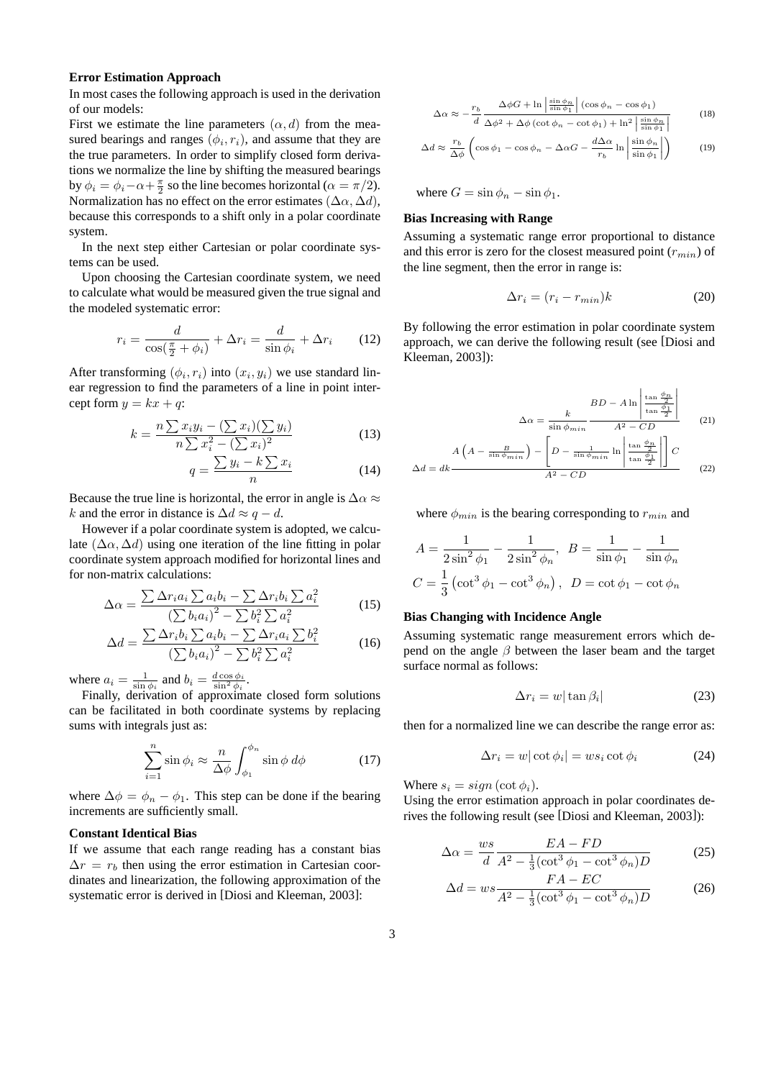#### **Error Estimation Approach**

In most cases the following approach is used in the derivation of our models:

First we estimate the line parameters  $(\alpha, d)$  from the measured bearings and ranges  $(\phi_i, r_i)$ , and assume that they are the true parameters. In order to simplify closed form derivations we normalize the line by shifting the measured bearings by  $\phi_i = \phi_i - \alpha + \frac{\pi}{2}$  so the line becomes horizontal ( $\alpha = \pi/2$ ). Normalization has no effect on the error estimates  $(\Delta \alpha, \Delta d)$ , because this corresponds to a shift only in a polar coordinate system.

In the next step either Cartesian or polar coordinate systems can be used.

Upon choosing the Cartesian coordinate system, we need to calculate what would be measured given the true signal and the modeled systematic error:

$$
r_i = \frac{d}{\cos(\frac{\pi}{2} + \phi_i)} + \Delta r_i = \frac{d}{\sin \phi_i} + \Delta r_i \qquad (12)
$$

After transforming  $(\phi_i, r_i)$  into  $(x_i, y_i)$  we use standard linear regression to find the parameters of a line in point intercept form  $y = kx + q$ :

$$
k = \frac{n\sum x_i y_i - (\sum x_i)(\sum y_i)}{n\sum x_i^2 - (\sum x_i)^2}
$$
 (13)

$$
q = \frac{\sum y_i - k \sum x_i}{n} \tag{14}
$$

Because the true line is horizontal, the error in angle is  $\Delta \alpha \approx$ k and the error in distance is  $\Delta d \approx q - d$ .

However if a polar coordinate system is adopted, we calculate  $(\Delta \alpha, \Delta d)$  using one iteration of the line fitting in polar coordinate system approach modified for horizontal lines and for non-matrix calculations:

$$
\Delta \alpha = \frac{\sum \Delta r_i a_i \sum a_i b_i - \sum \Delta r_i b_i \sum a_i^2}{\left(\sum b_i a_i\right)^2 - \sum b_i^2 \sum a_i^2}\tag{15}
$$

$$
\Delta d = \frac{\sum \Delta r_i b_i \sum a_i b_i - \sum \Delta r_i a_i \sum b_i^2}{\left(\sum b_i a_i\right)^2 - \sum b_i^2 \sum a_i^2}\tag{16}
$$

where  $a_i = \frac{1}{\sin \phi_i}$  and  $b_i = \frac{d \cos \phi_i}{\sin^2 \phi_i}$ .

Finally, derivation of approximate closed form solutions can be facilitated in both coordinate systems by replacing sums with integrals just as:

$$
\sum_{i=1}^{n} \sin \phi_i \approx \frac{n}{\Delta \phi} \int_{\phi_1}^{\phi_n} \sin \phi \, d\phi \tag{17}
$$

where  $\Delta \phi = \phi_n - \phi_1$ . This step can be done if the bearing increments are sufficiently small.

### **Constant Identical Bias**

If we assume that each range reading has a constant bias  $\Delta r = r_b$  then using the error estimation in Cartesian coordinates and linearization, the following approximation of the systematic error is derived in [Diosi and Kleeman, 2003]:

$$
\Delta \alpha \approx -\frac{r_b}{d} \frac{\Delta \phi G + \ln \left| \frac{\sin \phi_n}{\sin \phi_1} \right| (\cos \phi_n - \cos \phi_1)}{\Delta \phi^2 + \Delta \phi (\cot \phi_n - \cot \phi_1) + \ln^2 \left| \frac{\sin \phi_n}{\sin \phi_1} \right|}
$$
(18)

$$
\Delta d \approx \frac{r_b}{\Delta \phi} \left( \cos \phi_1 - \cos \phi_n - \Delta \alpha G - \frac{d \Delta \alpha}{r_b} \ln \left| \frac{\sin \phi_n}{\sin \phi_1} \right| \right) \tag{19}
$$

where  $G = \sin \phi_n - \sin \phi_1$ .

### **Bias Increasing with Range**

Assuming a systematic range error proportional to distance and this error is zero for the closest measured point  $(r_{min})$  of the line segment, then the error in range is:

$$
\Delta r_i = (r_i - r_{min})k \tag{20}
$$

By following the error estimation in polar coordinate system approach, we can derive the following result (see [Diosi and Kleeman, 2003]):

$$
\Delta \alpha = \frac{k}{\sin \phi_{min}} \frac{BD - A \ln \left| \frac{\tan \frac{\phi_n}{2}}{\tan \frac{\phi_1}{2}} \right|}{A^2 - CD}
$$
 (21)

$$
\Delta d = dk \frac{A\left(A - \frac{B}{\sin\phi_{min}}\right) - \left[D - \frac{1}{\sin\phi_{min}}\ln\left|\frac{\tan\frac{\phi_n}{2}}{\tan\frac{\phi_1}{2}}\right|\right]C}{A^2 - CD}
$$
(22)

where  $\phi_{min}$  is the bearing corresponding to  $r_{min}$  and

$$
A = \frac{1}{2\sin^2\phi_1} - \frac{1}{2\sin^2\phi_n}, \quad B = \frac{1}{\sin\phi_1} - \frac{1}{\sin\phi_n}
$$

$$
C = \frac{1}{3} \left( \cot^3\phi_1 - \cot^3\phi_n \right), \quad D = \cot\phi_1 - \cot\phi_n
$$

#### **Bias Changing with Incidence Angle**

Assuming systematic range measurement errors which depend on the angle  $\beta$  between the laser beam and the target surface normal as follows:

$$
\Delta r_i = w|\tan \beta_i| \tag{23}
$$

then for a normalized line we can describe the range error as:

$$
\Delta r_i = w |\cot \phi_i| = ws_i \cot \phi_i \tag{24}
$$

Where  $s_i = sign(\cot \phi_i)$ .

Using the error estimation approach in polar coordinates derives the following result (see [Diosi and Kleeman, 2003]):

$$
\Delta \alpha = \frac{ws}{d} \frac{EA - FD}{A^2 - \frac{1}{3} (\cot^3 \phi_1 - \cot^3 \phi_n) D}
$$
(25)

$$
\Delta d = ws \frac{FA - EC}{A^2 - \frac{1}{3}(\cot^3 \phi_1 - \cot^3 \phi_n)D}
$$
(26)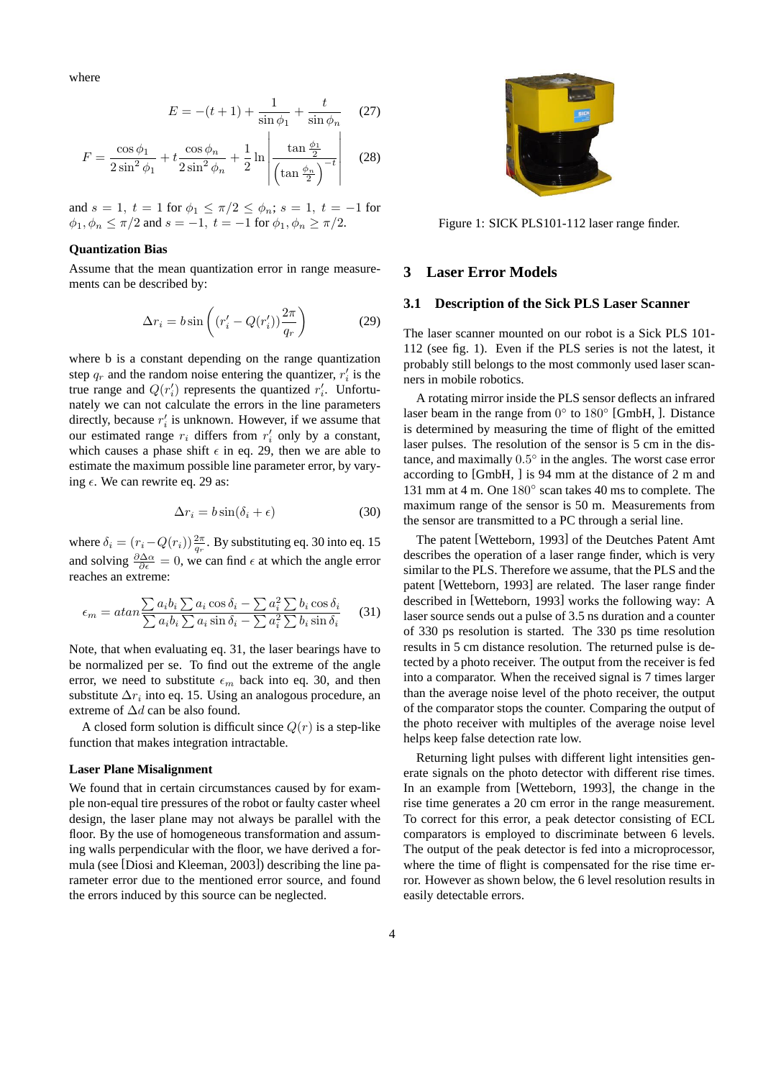where

$$
E = -(t+1) + \frac{1}{\sin \phi_1} + \frac{t}{\sin \phi_n}
$$
 (27)  

$$
F = \frac{\cos \phi_1}{2 \sin^2 \phi_1} + t \frac{\cos \phi_n}{2 \sin^2 \phi_n} + \frac{1}{2} \ln \left| \frac{\tan \frac{\phi_1}{2}}{\left(\tan \frac{\phi_n}{2}\right)^{-t}} \right|
$$
 (28)

and  $s = 1, t = 1$  for  $\phi_1 \le \pi/2 \le \phi_n$ ;  $s = 1, t = -1$  for  $\phi_1, \phi_n \le \pi/2$  and  $s = -1$ ,  $t = -1$  for  $\phi_1, \phi_n \ge \pi/2$ .

### **Quantization Bias**

Assume that the mean quantization error in range measurements can be described by:

$$
\Delta r_i = b \sin \left( \left( r_i' - Q(r_i') \right) \frac{2\pi}{q_r} \right) \tag{29}
$$

where b is a constant depending on the range quantization step  $q_r$  and the random noise entering the quantizer,  $r_i$  is the true range and  $Q(r_i')$  represents the quantized  $r_i'$ . Unfortunately we can not calculate the errors in the line parameters directly, because  $r_i'$  is unknown. However, if we assume that our estimated range  $r_i$  differs from  $r'_i$  only by a constant, which causes a phase shift  $\epsilon$  in eq. 29, then we are able to estimate the maximum possible line parameter error, by varying  $\epsilon$ . We can rewrite eq. 29 as:

$$
\Delta r_i = b \sin(\delta_i + \epsilon) \tag{30}
$$

where  $\delta_i = (r_i - Q(r_i)) \frac{2\pi}{q_r}$ . By substituting eq. 30 into eq. 15 and solving  $\frac{\partial \Delta \alpha}{\partial \epsilon} = 0$ , we can find  $\epsilon$  at which the angle error reaches an extreme:

$$
\epsilon_m = \operatorname{atan} \frac{\sum a_i b_i \sum a_i \cos \delta_i - \sum a_i^2 \sum b_i \cos \delta_i}{\sum a_i b_i \sum a_i \sin \delta_i - \sum a_i^2 \sum b_i \sin \delta_i} \tag{31}
$$

Note, that when evaluating eq. 31, the laser bearings have to be normalized per se. To find out the extreme of the angle error, we need to substitute  $\epsilon_m$  back into eq. 30, and then substitute  $\Delta r_i$  into eq. 15. Using an analogous procedure, an extreme of  $\Delta d$  can be also found.

A closed form solution is difficult since  $Q(r)$  is a step-like function that makes integration intractable.

#### **Laser Plane Misalignment**

We found that in certain circumstances caused by for example non-equal tire pressures of the robot or faulty caster wheel design, the laser plane may not always be parallel with the floor. By the use of homogeneous transformation and assuming walls perpendicular with the floor, we have derived a formula (see [Diosi and Kleeman, 2003]) describing the line parameter error due to the mentioned error source, and found the errors induced by this source can be neglected.



Figure 1: SICK PLS101-112 laser range finder.

### **3 Laser Error Models**

### **3.1 Description of the Sick PLS Laser Scanner**

The laser scanner mounted on our robot is a Sick PLS 101- 112 (see fig. 1). Even if the PLS series is not the latest, it probably still belongs to the most commonly used laser scanners in mobile robotics.

A rotating mirror inside the PLS sensor deflects an infrared laser beam in the range from  $0^{\circ}$  to  $180^{\circ}$  [GmbH, ]. Distance is determined by measuring the time of flight of the emitted laser pulses. The resolution of the sensor is 5 cm in the distance, and maximally  $0.5^{\circ}$  in the angles. The worst case error according to [GmbH, ] is 94 mm at the distance of 2 m and 131 mm at 4 m. One  $180^\circ$  scan takes 40 ms to complete. The maximum range of the sensor is 50 m. Measurements from the sensor are transmitted to a PC through a serial line.

The patent [Wetteborn, 1993] of the Deutches Patent Amt describes the operation of a laser range finder, which is very similar to the PLS. Therefore we assume, that the PLS and the patent [Wetteborn, 1993] are related. The laser range finder described in [Wetteborn, 1993] works the following way: A laser source sends out a pulse of 3.5 ns duration and a counter of 330 ps resolution is started. The 330 ps time resolution results in 5 cm distance resolution. The returned pulse is detected by a photo receiver. The output from the receiver is fed into a comparator. When the received signal is 7 times larger than the average noise level of the photo receiver, the output of the comparator stops the counter. Comparing the output of the photo receiver with multiples of the average noise level helps keep false detection rate low.

Returning light pulses with different light intensities generate signals on the photo detector with different rise times. In an example from [Wetteborn, 1993], the change in the rise time generates a 20 cm error in the range measurement. To correct for this error, a peak detector consisting of ECL comparators is employed to discriminate between 6 levels. The output of the peak detector is fed into a microprocessor, where the time of flight is compensated for the rise time error. However as shown below, the 6 level resolution results in easily detectable errors.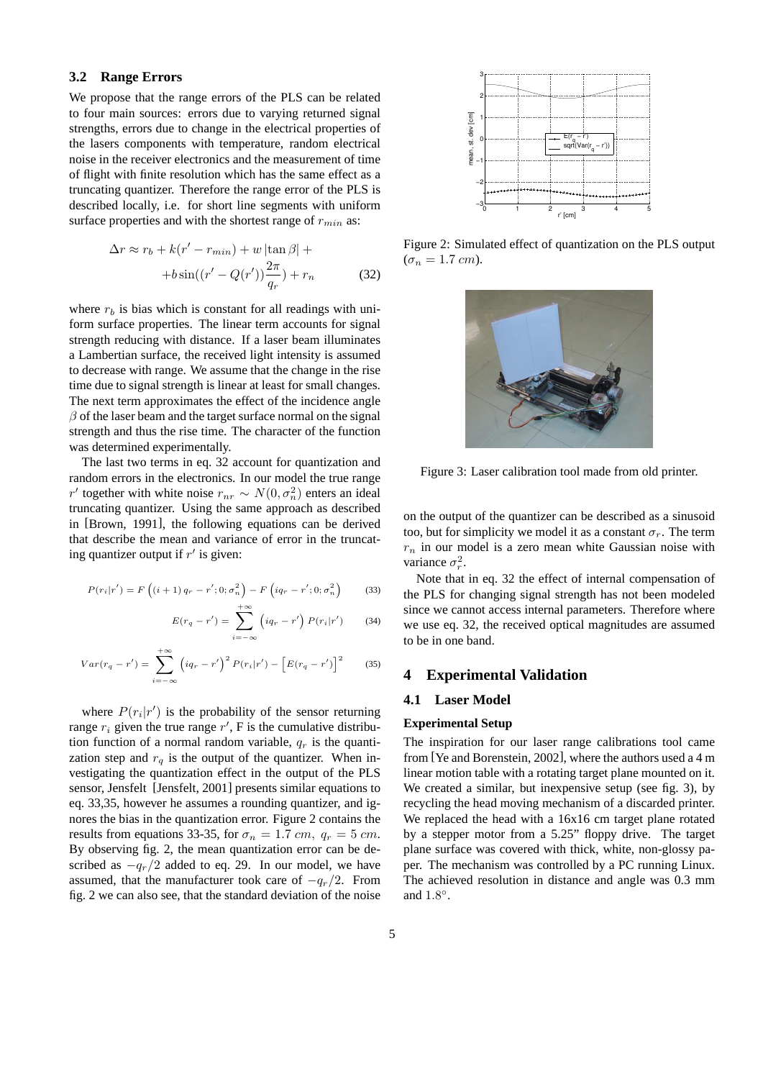### **3.2 Range Errors**

We propose that the range errors of the PLS can be related to four main sources: errors due to varying returned signal strengths, errors due to change in the electrical properties of the lasers components with temperature, random electrical noise in the receiver electronics and the measurement of time of flight with finite resolution which has the same effect as a truncating quantizer. Therefore the range error of the PLS is described locally, i.e. for short line segments with uniform surface properties and with the shortest range of  $r_{min}$  as:

$$
\Delta r \approx r_b + k(r' - r_{min}) + w \left| \tan \beta \right| +
$$

$$
+ b \sin((r' - Q(r')) \frac{2\pi}{q_r}) + r_n \tag{32}
$$

where  $r_b$  is bias which is constant for all readings with uniform surface properties. The linear term accounts for signal strength reducing with distance. If a laser beam illuminates a Lambertian surface, the received light intensity is assumed to decrease with range. We assume that the change in the rise time due to signal strength is linear at least for small changes. The next term approximates the effect of the incidence angle  $\beta$  of the laser beam and the target surface normal on the signal strength and thus the rise time. The character of the function was determined experimentally.

The last two terms in eq. 32 account for quantization and random errors in the electronics. In our model the true range r' together with white noise  $r_{nr} \sim N(0, \sigma_n^2)$  enters an ideal truncating quantizer. Using the same approach as described in [Brown, 1991], the following equations can be derived that describe the mean and variance of error in the truncating quantizer output if  $r'$  is given:

$$
P(r_i|r') = F\left((i+1)q_r - r'; 0; \sigma_n^2\right) - F\left(iq_r - r'; 0; \sigma_n^2\right)
$$
(33)

$$
-r') = \sum_{i=-\infty}^{+\infty} \left( iq_r - r' \right) P(r_i|r') \qquad (34)
$$

$$
Var(r_q - r') = \sum_{i = -\infty}^{+\infty} \left( i q_r - r' \right)^2 P(r_i | r') - \left[ E(r_q - r') \right]^2 \tag{35}
$$

 $E(r_q)$ 

where  $P(r_i|r')$  is the probability of the sensor returning range  $r_i$  given the true range  $r'$ , F is the cumulative distribution function of a normal random variable,  $q_r$  is the quantization step and  $r_q$  is the output of the quantizer. When investigating the quantization effect in the output of the PLS sensor, Jensfelt [Jensfelt, 2001] presents similar equations to eq. 33,35, however he assumes a rounding quantizer, and ignores the bias in the quantization error. Figure 2 contains the results from equations 33-35, for  $\sigma_n = 1.7$  cm,  $q_r = 5$  cm. By observing fig. 2, the mean quantization error can be described as  $-q_r/2$  added to eq. 29. In our model, we have assumed, that the manufacturer took care of  $-q_r/2$ . From fig. 2 we can also see, that the standard deviation of the noise



Figure 2: Simulated effect of quantization on the PLS output  $(\sigma_n = 1.7 \, \text{cm}).$ 



Figure 3: Laser calibration tool made from old printer.

on the output of the quantizer can be described as a sinusoid too, but for simplicity we model it as a constant  $\sigma_r$ . The term  $r_n$  in our model is a zero mean white Gaussian noise with variance  $\sigma_r^2$ .

Note that in eq. 32 the effect of internal compensation of the PLS for changing signal strength has not been modeled since we cannot access internal parameters. Therefore where we use eq. 32, the received optical magnitudes are assumed to be in one band.

### **4 Experimental Validation**

### **4.1 Laser Model**

### **Experimental Setup**

The inspiration for our laser range calibrations tool came from [Ye and Borenstein, 2002], where the authors used a 4 m linear motion table with a rotating target plane mounted on it. We created a similar, but inexpensive setup (see fig. 3), by recycling the head moving mechanism of a discarded printer. We replaced the head with a 16x16 cm target plane rotated by a stepper motor from a 5.25" floppy drive. The target plane surface was covered with thick, white, non-glossy paper. The mechanism was controlled by a PC running Linux. The achieved resolution in distance and angle was 0.3 mm and  $1.8^\circ$ .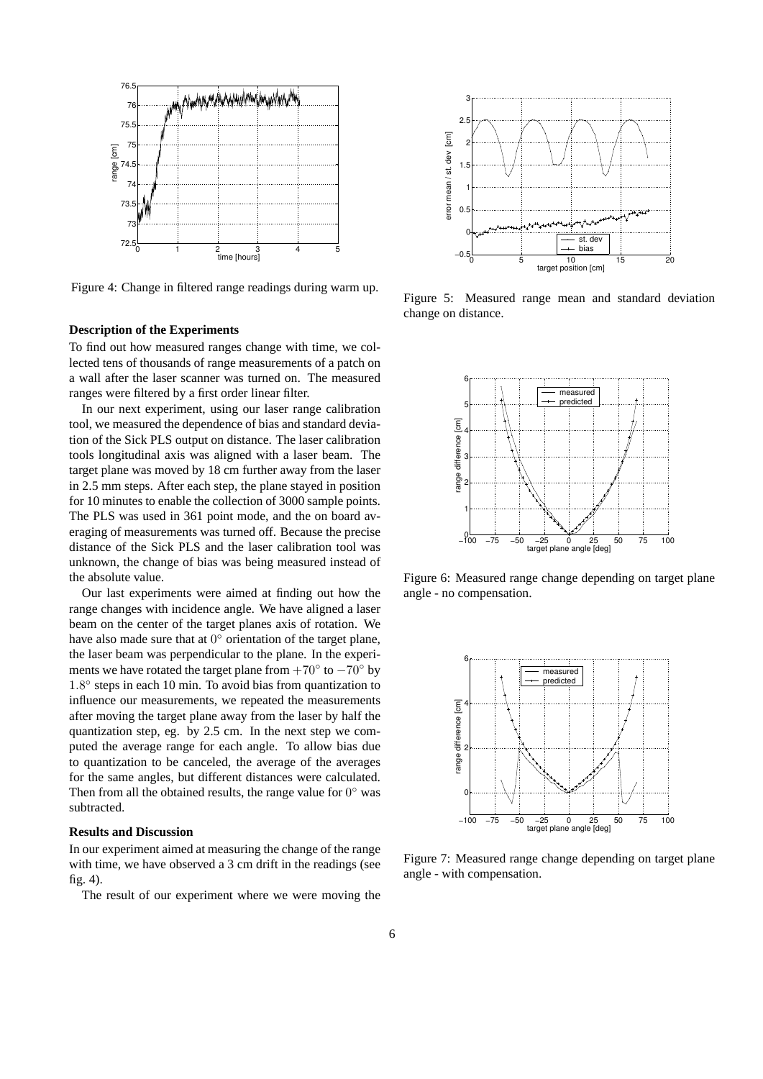

Figure 4: Change in filtered range readings during warm up.

#### **Description of the Experiments**

To find out how measured ranges change with time, we collected tens of thousands of range measurements of a patch on a wall after the laser scanner was turned on. The measured ranges were filtered by a first order linear filter.

In our next experiment, using our laser range calibration tool, we measured the dependence of bias and standard deviation of the Sick PLS output on distance. The laser calibration tools longitudinal axis was aligned with a laser beam. The target plane was moved by 18 cm further away from the laser in 2.5 mm steps. After each step, the plane stayed in position for 10 minutes to enable the collection of 3000 sample points. The PLS was used in 361 point mode, and the on board averaging of measurements was turned off. Because the precise distance of the Sick PLS and the laser calibration tool was unknown, the change of bias was being measured instead of the absolute value.

Our last experiments were aimed at finding out how the range changes with incidence angle. We have aligned a laser beam on the center of the target planes axis of rotation. We have also made sure that at  $0^{\circ}$  orientation of the target plane, the laser beam was perpendicular to the plane. In the experiments we have rotated the target plane from  $+70^{\circ}$  to  $-70^{\circ}$  by 1.8° steps in each 10 min. To avoid bias from quantization to influence our measurements, we repeated the measurements after moving the target plane away from the laser by half the quantization step, eg. by 2.5 cm. In the next step we computed the average range for each angle. To allow bias due to quantization to be canceled, the average of the averages for the same angles, but different distances were calculated. Then from all the obtained results, the range value for  $0^{\circ}$  was subtracted.

#### **Results and Discussion**

In our experiment aimed at measuring the change of the range with time, we have observed a 3 cm drift in the readings (see fig. 4).

The result of our experiment where we were moving the



Figure 5: Measured range mean and standard deviation change on distance.



Figure 6: Measured range change depending on target plane angle - no compensation.



Figure 7: Measured range change depending on target plane angle - with compensation.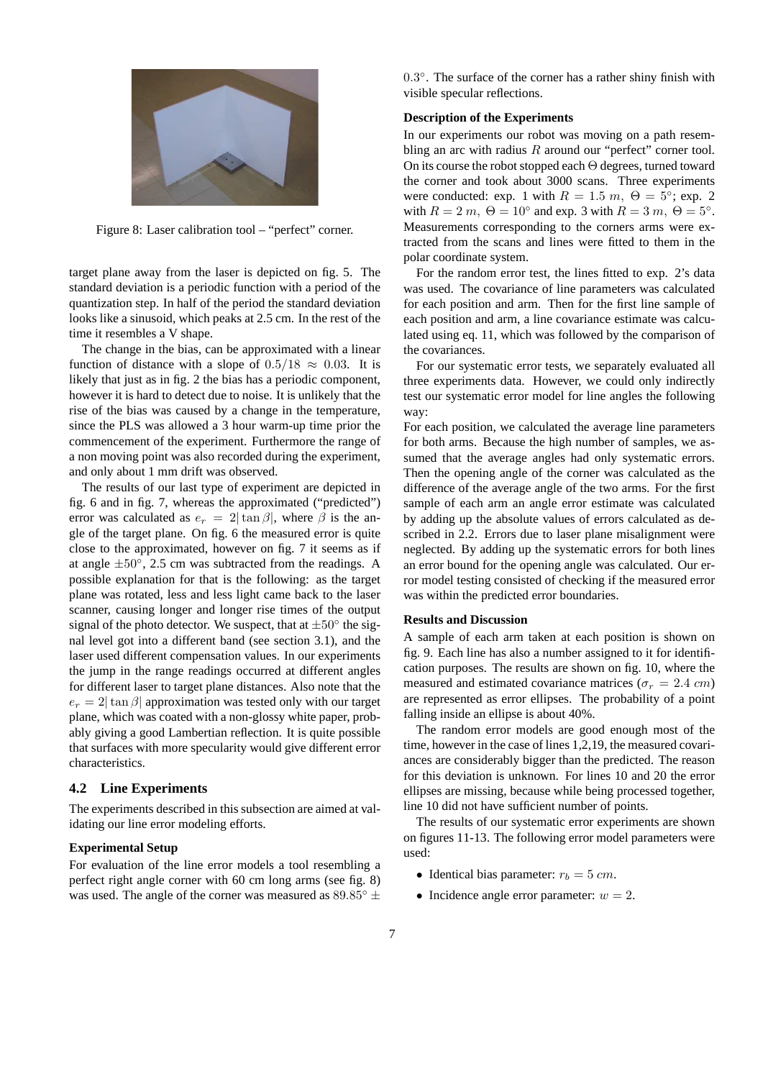

Figure 8: Laser calibration tool – "perfect" corner.

target plane away from the laser is depicted on fig. 5. The standard deviation is a periodic function with a period of the quantization step. In half of the period the standard deviation looks like a sinusoid, which peaks at 2.5 cm. In the rest of the time it resembles a V shape.

The change in the bias, can be approximated with a linear function of distance with a slope of  $0.5/18 \approx 0.03$ . It is likely that just as in fig. 2 the bias has a periodic component, however it is hard to detect due to noise. It is unlikely that the rise of the bias was caused by a change in the temperature, since the PLS was allowed a 3 hour warm-up time prior the commencement of the experiment. Furthermore the range of a non moving point was also recorded during the experiment, and only about 1 mm drift was observed.

The results of our last type of experiment are depicted in fig. 6 and in fig. 7, whereas the approximated ("predicted") error was calculated as  $e_r = 2|\tan \beta|$ , where  $\beta$  is the angle of the target plane. On fig. 6 the measured error is quite close to the approximated, however on fig. 7 it seems as if at angle  $\pm 50^\circ$ , 2.5 cm was subtracted from the readings. A possible explanation for that is the following: as the target plane was rotated, less and less light came back to the laser scanner, causing longer and longer rise times of the output signal of the photo detector. We suspect, that at  $\pm 50^\circ$  the signal level got into a different band (see section 3.1), and the laser used different compensation values. In our experiments the jump in the range readings occurred at different angles for different laser to target plane distances. Also note that the  $e_r = 2|\tan \beta|$  approximation was tested only with our target plane, which was coated with a non-glossy white paper, probably giving a good Lambertian reflection. It is quite possible that surfaces with more specularity would give different error characteristics.

#### **4.2 Line Experiments**

The experiments described in this subsection are aimed at validating our line error modeling efforts.

#### **Experimental Setup**

For evaluation of the line error models a tool resembling a perfect right angle corner with 60 cm long arms (see fig. 8) was used. The angle of the corner was measured as  $89.85^{\circ}$  ±

0.3°. The surface of the corner has a rather shiny finish with visible specular reflections.

### **Description of the Experiments**

In our experiments our robot was moving on a path resembling an arc with radius  $R$  around our "perfect" corner tool. On its course the robot stopped each Θ degrees, turned toward the corner and took about 3000 scans. Three experiments were conducted: exp. 1 with  $R = 1.5$  m,  $\Theta = 5^{\circ}$ ; exp. 2 with  $R = 2 m$ ,  $\Theta = 10^{\circ}$  and exp. 3 with  $R = 3 m$ ,  $\Theta = 5^{\circ}$ . Measurements corresponding to the corners arms were extracted from the scans and lines were fitted to them in the polar coordinate system.

For the random error test, the lines fitted to exp. 2's data was used. The covariance of line parameters was calculated for each position and arm. Then for the first line sample of each position and arm, a line covariance estimate was calculated using eq. 11, which was followed by the comparison of the covariances.

For our systematic error tests, we separately evaluated all three experiments data. However, we could only indirectly test our systematic error model for line angles the following way:

For each position, we calculated the average line parameters for both arms. Because the high number of samples, we assumed that the average angles had only systematic errors. Then the opening angle of the corner was calculated as the difference of the average angle of the two arms. For the first sample of each arm an angle error estimate was calculated by adding up the absolute values of errors calculated as described in 2.2. Errors due to laser plane misalignment were neglected. By adding up the systematic errors for both lines an error bound for the opening angle was calculated. Our error model testing consisted of checking if the measured error was within the predicted error boundaries.

#### **Results and Discussion**

A sample of each arm taken at each position is shown on fig. 9. Each line has also a number assigned to it for identification purposes. The results are shown on fig. 10, where the measured and estimated covariance matrices ( $\sigma_r = 2.4 \text{ cm}$ ) are represented as error ellipses. The probability of a point falling inside an ellipse is about 40%.

The random error models are good enough most of the time, however in the case of lines 1,2,19, the measured covariances are considerably bigger than the predicted. The reason for this deviation is unknown. For lines 10 and 20 the error ellipses are missing, because while being processed together, line 10 did not have sufficient number of points.

The results of our systematic error experiments are shown on figures 11-13. The following error model parameters were used:

- Identical bias parameter:  $r_b = 5$  cm.
- Incidence angle error parameter:  $w = 2$ .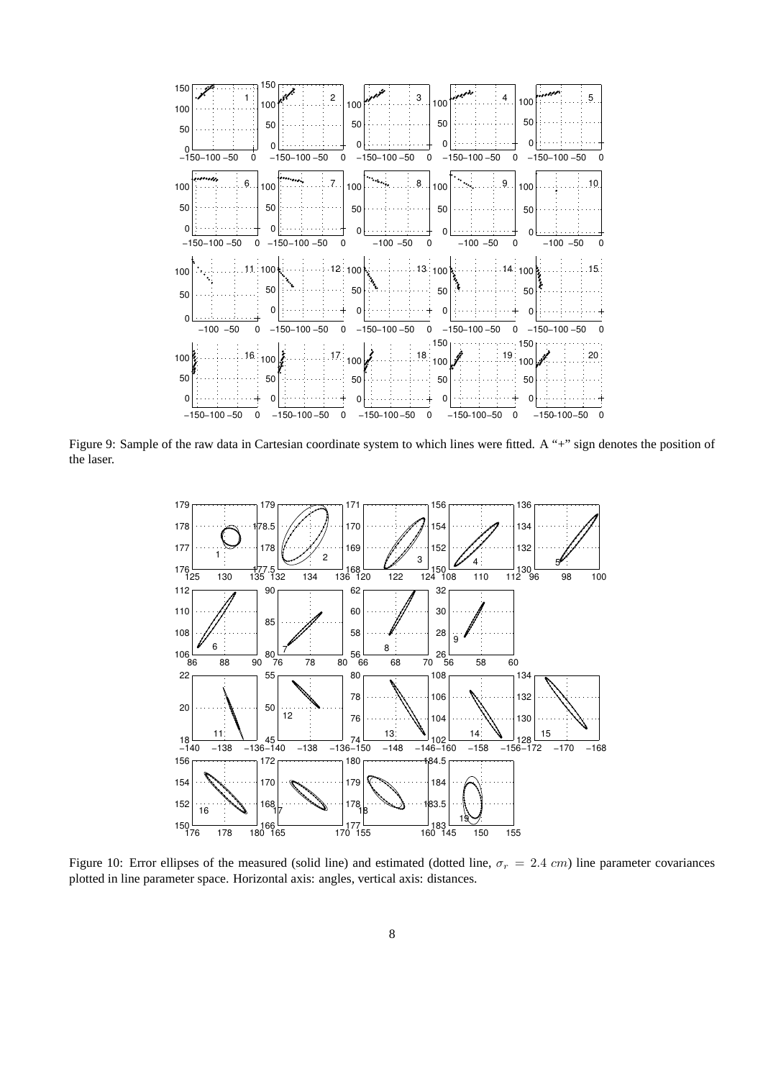

Figure 9: Sample of the raw data in Cartesian coordinate system to which lines were fitted. A "+" sign denotes the position of the laser.



Figure 10: Error ellipses of the measured (solid line) and estimated (dotted line,  $\sigma_r = 2.4 \text{ cm}$ ) line parameter covariances plotted in line parameter space. Horizontal axis: angles, vertical axis: distances.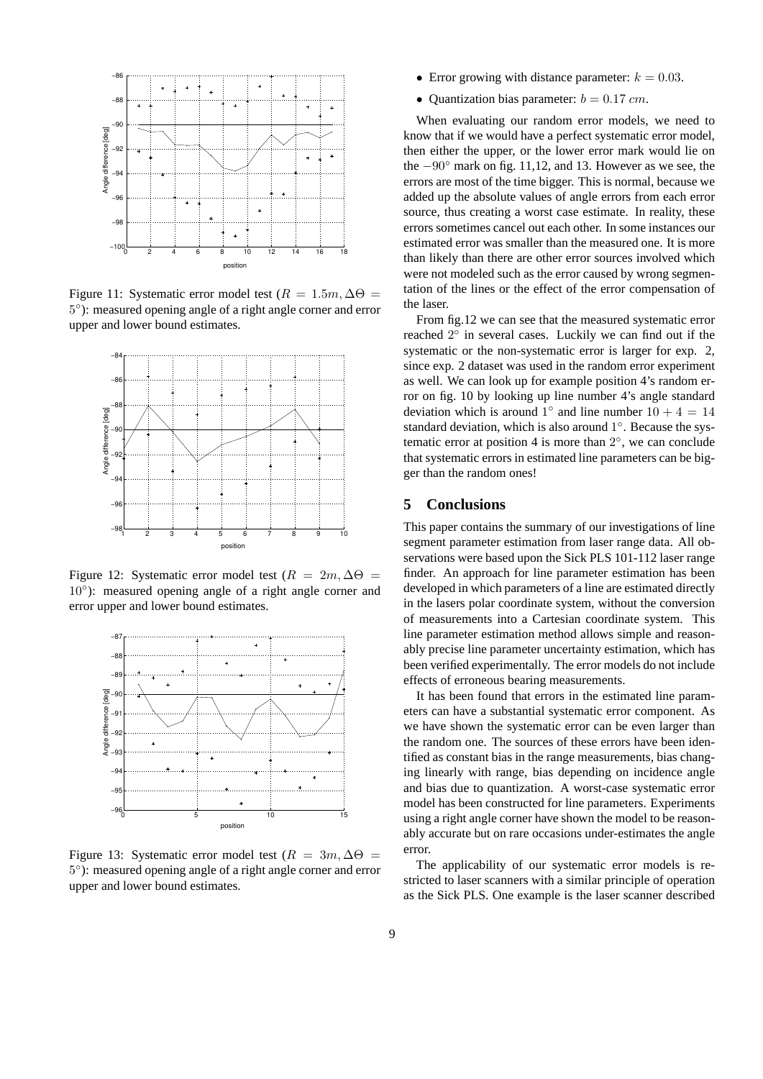

Figure 11: Systematic error model test ( $R = 1.5m$ ,  $\Delta\Theta =$ 5 ◦ ): measured opening angle of a right angle corner and error upper and lower bound estimates.



Figure 12: Systematic error model test ( $R = 2m$ ,  $\Delta\Theta =$ 10°): measured opening angle of a right angle corner and error upper and lower bound estimates.



Figure 13: Systematic error model test ( $R = 3m$ ,  $\Delta\Theta =$ 5 ◦ ): measured opening angle of a right angle corner and error upper and lower bound estimates.

- Error growing with distance parameter:  $k = 0.03$ .
- Ouantization bias parameter:  $b = 0.17$  cm.

When evaluating our random error models, we need to know that if we would have a perfect systematic error model, then either the upper, or the lower error mark would lie on the −90◦ mark on fig. 11,12, and 13. However as we see, the errors are most of the time bigger. This is normal, because we added up the absolute values of angle errors from each error source, thus creating a worst case estimate. In reality, these errors sometimes cancel out each other. In some instances our estimated error was smaller than the measured one. It is more than likely than there are other error sources involved which were not modeled such as the error caused by wrong segmentation of the lines or the effect of the error compensation of the laser.

From fig.12 we can see that the measured systematic error reached  $2^{\circ}$  in several cases. Luckily we can find out if the systematic or the non-systematic error is larger for exp. 2, since exp. 2 dataset was used in the random error experiment as well. We can look up for example position 4's random error on fig. 10 by looking up line number 4's angle standard deviation which is around  $1^{\circ}$  and line number  $10 + 4 = 14$ standard deviation, which is also around 1°. Because the systematic error at position 4 is more than  $2^\circ$ , we can conclude that systematic errors in estimated line parameters can be bigger than the random ones!

## **5 Conclusions**

This paper contains the summary of our investigations of line segment parameter estimation from laser range data. All observations were based upon the Sick PLS 101-112 laser range finder. An approach for line parameter estimation has been developed in which parameters of a line are estimated directly in the lasers polar coordinate system, without the conversion of measurements into a Cartesian coordinate system. This line parameter estimation method allows simple and reasonably precise line parameter uncertainty estimation, which has been verified experimentally. The error models do not include effects of erroneous bearing measurements.

It has been found that errors in the estimated line parameters can have a substantial systematic error component. As we have shown the systematic error can be even larger than the random one. The sources of these errors have been identified as constant bias in the range measurements, bias changing linearly with range, bias depending on incidence angle and bias due to quantization. A worst-case systematic error model has been constructed for line parameters. Experiments using a right angle corner have shown the model to be reasonably accurate but on rare occasions under-estimates the angle error.

The applicability of our systematic error models is restricted to laser scanners with a similar principle of operation as the Sick PLS. One example is the laser scanner described